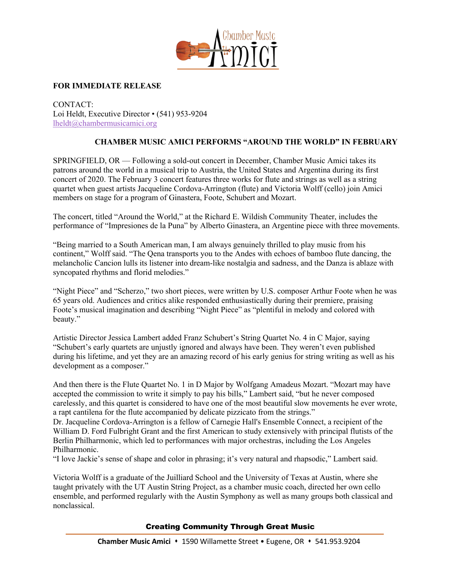

## **FOR IMMEDIATE RELEASE**

CONTACT: Loi Heldt, Executive Director • (541) 953-9204 lheldt@chambermusicamici.org

## **CHAMBER MUSIC AMICI PERFORMS "AROUND THE WORLD" IN FEBRUARY**

SPRINGFIELD, OR — Following a sold-out concert in December, Chamber Music Amici takes its patrons around the world in a musical trip to Austria, the United States and Argentina during its first concert of 2020. The February 3 concert features three works for flute and strings as well as a string quartet when guest artists Jacqueline Cordova-Arrington (flute) and Victoria Wolff (cello) join Amici members on stage for a program of Ginastera, Foote, Schubert and Mozart.

The concert, titled "Around the World," at the Richard E. Wildish Community Theater, includes the performance of "Impresiones de la Puna" by Alberto Ginastera, an Argentine piece with three movements.

"Being married to a South American man, I am always genuinely thrilled to play music from his continent," Wolff said. "The Qena transports you to the Andes with echoes of bamboo flute dancing, the melancholic Cancion lulls its listener into dream-like nostalgia and sadness, and the Danza is ablaze with syncopated rhythms and florid melodies."

"Night Piece" and "Scherzo," two short pieces, were written by U.S. composer Arthur Foote when he was 65 years old. Audiences and critics alike responded enthusiastically during their premiere, praising Foote's musical imagination and describing "Night Piece" as "plentiful in melody and colored with beauty."

Artistic Director Jessica Lambert added Franz Schubert's String Quartet No. 4 in C Major, saying "Schubert's early quartets are unjustly ignored and always have been. They weren't even published during his lifetime, and yet they are an amazing record of his early genius for string writing as well as his development as a composer."

And then there is the Flute Quartet No. 1 in D Major by Wolfgang Amadeus Mozart. "Mozart may have accepted the commission to write it simply to pay his bills," Lambert said, "but he never composed carelessly, and this quartet is considered to have one of the most beautiful slow movements he ever wrote, a rapt cantilena for the flute accompanied by delicate pizzicato from the strings."

Dr. Jacqueline Cordova-Arrington is a fellow of Carnegie Hall's Ensemble Connect, a recipient of the William D. Ford Fulbright Grant and the first American to study extensively with principal flutists of the Berlin Philharmonic, which led to performances with major orchestras, including the Los Angeles Philharmonic.

"I love Jackie's sense of shape and color in phrasing; it's very natural and rhapsodic," Lambert said.

Victoria Wolff is a graduate of the Juilliard School and the University of Texas at Austin, where she taught privately with the UT Austin String Project, as a chamber music coach, directed her own cello ensemble, and performed regularly with the Austin Symphony as well as many groups both classical and nonclassical.

## Creating Community Through Great Music